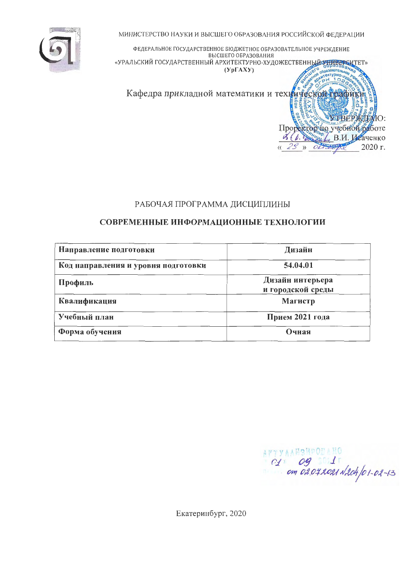МИНИСТЕРСТВО НАУКИ И ВЫСШЕГО ОБРАЗОВАНИЯ РОССИЙСКОЙ ФЕДЕРАЦИИ



ФЕДЕРАЛЬНОЕ ГОСУДАРСТВЕННОЕ БЮДЖЕТНОЕ ОБРАЗОВАТЕЛЬНОЕ УЧРЕЖДЕНИЕ ВЫСШЕГО ОБРАЗОВАНИЯ «УРАЛЬСКИЙ ГОСУДАРСТВЕННЫЙ АРХИТЕКТУРНО-ХУДОЖЕСТВЕННЫ<del>Й УПИЗИСА</del>ТЕТ»  $(Yp\Gamma A X Y)$ 

Кафедра прикладной математики и технической трафики

# РАБОЧАЯ ПРОГРАММА ДИСЦИПЛИНЫ

### СОВРЕМЕННЫЕ ИНФОРМАЦИОННЫЕ ТЕХНОЛОГИИ

| Направление подготовки              | Дизайн                                |
|-------------------------------------|---------------------------------------|
| Код направления и уровня подготовки | 54.04.01                              |
| Профиль                             | Дизайн интерьера<br>и городской среды |
| Квалификация                        | Магистр                               |
| Учебный план                        | Прием 2021 года                       |
| Форма обучения                      | Очная                                 |

 $C1$  og 3011

УТВЕРЖТАЮ:

2020 г.

Проректор но учебной работе B.H. B.H. Heavenko

ERSTREID O

 $V$   $OL$ 

Екатеринбург, 2020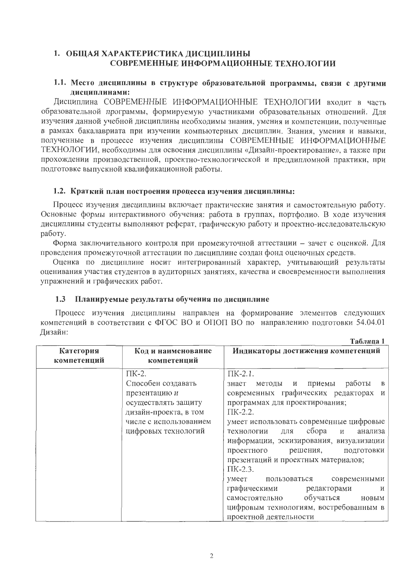# 1. ОБЩАЯ ХАРАКТЕРИСТИКА ДИСЦИПЛИНЫ СОВРЕМЕННЫЕ ИНФОРМАЦИОННЫЕ ТЕХНОЛОГИИ

#### 1.1. Место дисциплины в структуре образовательной программы, связи с другими дисциплинами:

Дисциплина СОВРЕМЕННЫЕ ИНФОРМАЦИОННЫЕ ТЕХНОЛОГИИ входит в часть образовательной программы, формируемую участниками образовательных отношений. Для изучения данной учебной дисциплины необходимы знания, умения и компетенции, полученные в рамках бакалавриата при изучении компьютерных дисциплин. Знания, умения и навыки, полученные в процессе изучения дисциплины СОВРЕМЕННЫЕ ИНФОРМАЦИОННЫЕ ТЕХНОЛОГИИ, необходимы для освоения дисциплины «Дизайн-проектирование», а также при прохождении производственной, проектно-технологической и преддипломной практики, при подготовке выпускной квалификационной работы.

#### 1.2. Краткий план построения процесса изучения дисциплины:

Процесс изучения дисциплины включает практические занятия и самостоятельную работу. Основные формы интерактивного обучения: работа в группах, портфолио. В ходе изучения дисциплины студенты выполняют реферат, графическую работу и проектно-исследовательскую работу.

Форма заключительного контроля при промежуточной аттестации - зачет с оценкой. Для проведения промежуточной аттестации по дисциплине создан фонд оценочных средств.

Оценка по дисциплине носит интегрированный характер, учитывающий результаты оценивания участия студентов в аудиторных занятиях, качества и своевременности выполнения упражнений и графических работ.

#### Планируемые результаты обучения по дисциплине  $1.3$

Процесс изучения дисциплины направлен на формирование элементов следующих компетенций в соответствии с ФГОС ВО и ОПОП ВО по направлению подготовки 54.04.01 Дизайн:  $ToG$ 

| Категория<br>компетенций | Код и наименование<br>компетенций                                                                                                                   | Индикаторы достижения компетенций                                                                                                                                                                                                                                                                                                                                                                                                                                                                                                                                              |
|--------------------------|-----------------------------------------------------------------------------------------------------------------------------------------------------|--------------------------------------------------------------------------------------------------------------------------------------------------------------------------------------------------------------------------------------------------------------------------------------------------------------------------------------------------------------------------------------------------------------------------------------------------------------------------------------------------------------------------------------------------------------------------------|
|                          | $\Pi K-2$ .<br>Способен создавать<br>презентацию и<br>осуществлять защиту<br>дизайн-проекта, в том<br>числе с использованием<br>цифровых технологий | $\Pi$ K-2.1.<br>работы<br>методы и приемы<br>знает<br>$\bf{B}$<br>современных графических редакторах<br>И<br>программах для проектирования;<br>$\Pi$ K-2.2.<br>умеет использовать современные цифровые<br>сбора<br>технологии<br>анализа<br>ДЛЯ<br>И<br>информации, эскизирования, визуализации<br>проектного<br>ПОДГОТОВКИ<br>решения,<br>презентаций и проектных материалов;<br>$\Pi$ K-2.3.<br>пользоваться современными<br>умеет<br>графическими редакторами<br>И<br>самостоятельно обучаться<br>новым<br>цифровым технологиям, востребованным в<br>проектной деятельности |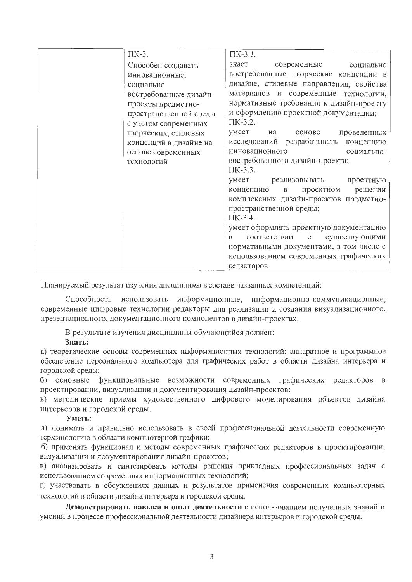| ПК-3.                  | $\Pi K-3.1$ .                                                 |
|------------------------|---------------------------------------------------------------|
| Способен создавать     | знает<br>современные социально                                |
| инновационные,         | востребованные творческие концепции в                         |
| социально              | дизайне, стилевые направления, свойства                       |
| востребованные дизайн- | материалов и современные технологии,                          |
| проекты предметно-     | нормативные требования к дизайн-проекту                       |
| пространственной среды | и оформлению проектной документации;                          |
| с учетом современных   | $\Pi$ K-3.2.                                                  |
| творческих, стилевых   | умеет<br>проведенных<br>на<br>основе                          |
| концепций в дизайне на | исследований разрабатывать концепцию                          |
| основе современных     | инновационного<br>социально-                                  |
| технологий             | востребованного дизайн-проекта;                               |
|                        | $\Pi$ K-3.3.                                                  |
|                        | умеет реализовывать проектную                                 |
|                        | решении<br>концепцию<br>проектном<br>$\mathbf{B}$             |
|                        | комплексных дизайн-проектов предметно-                        |
|                        | пространственной среды;                                       |
|                        | $\Pi$ K-3.4.                                                  |
|                        | умеет оформлять проектную документацию                        |
|                        | соответствии<br>существующими<br>$\mathbf{c}$<br>$\mathbf{B}$ |
|                        | нормативными документами, в том числе с                       |
|                        | использованием современных графических                        |
|                        | редакторов                                                    |

Планируемый результат изучения дисциплины в составе названных компетенций:

информационные, информационно-коммуникационные, Способность использовать современные цифровые технологии редакторы для реализации и создания визуализационного, презентационного, документационного компонентов в дизайн-проектах.

В результате изучения дисциплины обучающийся должен:

#### Знать:

а) теоретические основы современных информационных технологий; аппаратное и программное обеспечение персонального компьютера для графических работ в области дизайна интерьера и городской среды;

б) основные функциональные возможности современных графических редакторов в проектировании, визуализации и документирования дизайн-проектов;

в) методические приемы художественного цифрового моделирования объектов дизайна интерьеров и городской среды.

#### Уметь:

а) понимать и правильно использовать в своей профессиональной деятельности современную терминологию в области компьютерной графики;

б) применять функционал и методы современных графических редакторов в проектировании, визуализации и документирования дизайн-проектов;

в) анализировать и синтезировать методы решения прикладных профессиональных задач с использованием современных информационных технологий;

г) участвовать в обсуждениях данных и результатов применения современных компьютерных технологий в области дизайна интерьера и городской среды.

Демонстрировать навыки и опыт деятельности с использованием полученных знаний и умений в процессе профессиональной деятельности дизайнера интерьеров и городской среды.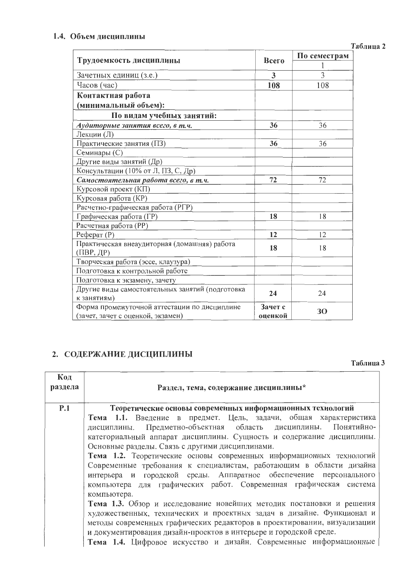# 1.4. Объем дисциплины

|                                                           |         | По семестрам |  |  |
|-----------------------------------------------------------|---------|--------------|--|--|
| Трудоемкость дисциплины                                   | Всего   |              |  |  |
| Зачетных единиц (з.е.)                                    | 3       | 3            |  |  |
| Часов (час)                                               | 108     | 108          |  |  |
| Контактная работа                                         |         |              |  |  |
| (минимальный объем):                                      |         |              |  |  |
| По видам учебных занятий:                                 |         |              |  |  |
| Аудиторные занятия всего, в т.ч.                          | 36      | 36           |  |  |
| Лекции (Л)                                                |         |              |  |  |
| Практические занятия (ПЗ)                                 | 36      | 36           |  |  |
| Семинары (С)                                              |         |              |  |  |
| Другие виды занятий (Др)                                  |         |              |  |  |
| Консультации (10% от Л, ПЗ, С, Др)                        |         |              |  |  |
| Самостоятельная работа всего, в т.ч.                      | 72      | 72           |  |  |
| Курсовой проект (КП)                                      |         |              |  |  |
| Курсовая работа (КР)                                      |         |              |  |  |
| Расчетно-графическая работа (РГР)                         |         |              |  |  |
| Графическая работа (ГР)                                   | 18      | 18           |  |  |
| Расчетная работа (РР)                                     |         |              |  |  |
| Pechpar (P)                                               | 12      | 12           |  |  |
| Практическая внеаудиторная (домашняя) работа<br>(ПВР, ДР) | 18      | 18           |  |  |
| Творческая работа (эссе, клаузура)                        |         |              |  |  |
| Подготовка к контрольной работе                           |         |              |  |  |
| Подготовка к экзамену, зачету                             |         |              |  |  |
| Другие виды самостоятельных занятий (подготовка           | 24      | 24           |  |  |
| к занятиям)                                               |         |              |  |  |
| Форма промежуточной аттестации по дисциплине              | Зачет с | 30           |  |  |
| (зачет, зачет с оценкой, экзамен)                         | оценкой |              |  |  |

# 2. СОДЕРЖАНИЕ ДИСЦИПЛИНЫ

Таблица 3

| Код<br>раздела | Раздел, тема, содержание дисциплины*                                                                                                                                                                                                                                                                                                                                                                                                                                              |  |  |  |  |  |  |
|----------------|-----------------------------------------------------------------------------------------------------------------------------------------------------------------------------------------------------------------------------------------------------------------------------------------------------------------------------------------------------------------------------------------------------------------------------------------------------------------------------------|--|--|--|--|--|--|
| P.1            | Теоретические основы современных информационных технологий                                                                                                                                                                                                                                                                                                                                                                                                                        |  |  |  |  |  |  |
|                | Тема 1.1. Введение в предмет. Цель, задачи, общая характеристика<br>дисциплины. Предметно-объектная область дисциплины. Понятийно-<br>категориальный аппарат дисциплины. Сущность и содержание дисциплины.<br>Основные разделы. Связь с другими дисциплинами.<br>Тема 1.2. Теоретические основы современных информационных технологий<br>Современные требования к специалистам, работающим в области дизайна<br>интерьера и городской среды. Аппаратное обеспечение персонального |  |  |  |  |  |  |
|                | компьютера для графических работ. Современная графическая система<br>компьютера.                                                                                                                                                                                                                                                                                                                                                                                                  |  |  |  |  |  |  |
|                | Тема 1.3. Обзор и исследование новейших методик постановки и решения                                                                                                                                                                                                                                                                                                                                                                                                              |  |  |  |  |  |  |
|                | художественных, технических и проектных задач в дизайне. Функционал и<br>методы современных графических редакторов в проектировании, визуализации<br>и документирования дизайн-проектов в интерьере и городской среде.                                                                                                                                                                                                                                                            |  |  |  |  |  |  |
|                | Тема 1.4. Цифровое искусство и дизайн. Современные информационные                                                                                                                                                                                                                                                                                                                                                                                                                 |  |  |  |  |  |  |

# Таблица 2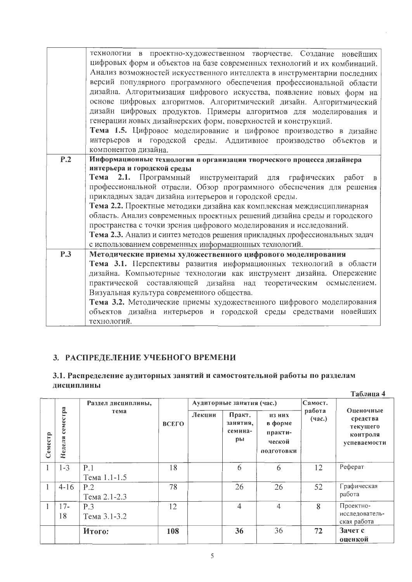|     | технологии в проектно-художественном творчестве. Создание новейших          |
|-----|-----------------------------------------------------------------------------|
|     | цифровых форм и объектов на базе современных технологий и их комбинаций.    |
|     | Анализ возможностей искусственного интеллекта в инструментарии последних    |
|     | версий популярного программного обеспечения профессиональной области        |
|     | дизайна. Алгоритмизация цифрового искусства, появление новых форм на        |
|     | основе цифровых алгоритмов. Алгоритмический дизайн. Алгоритмический         |
|     | дизайн цифровых продуктов. Примеры алгоритмов для моделирования и           |
|     | генерации новых дизайнерских форм, поверхностей и конструкций.              |
|     | Тема 1.5. Цифровое моделирование и цифровое производство в дизайне          |
|     | интерьеров и городской среды. Аддитивное производство объектов и            |
|     | компонентов дизайна.                                                        |
| P.2 | Информационные технологии в организации творческого процесса дизайнера      |
|     | интерьера и городской среды                                                 |
|     | Тема 2.1. Программный инструментарий для графических работ в                |
|     | профессиональной отрасли. Обзор программного обеспечения для решения        |
|     | прикладных задач дизайна интерьеров и городской среды.                      |
|     | Тема 2.2. Проектные методики дизайна как комплексная междисциплинарная      |
|     | область. Анализ современных проектных решений дизайна среды и городского    |
|     | пространства с точки зрения цифрового моделирования и исследований.         |
|     | Тема 2.3. Анализ и синтез методов решения прикладных профессиональных задач |
|     | с использованием современных информационных технологий.                     |
| P.3 | Методические приемы художественного цифрового моделирования                 |
|     | Тема 3.1. Перспективы развития информационных технологий в области          |
|     | дизайна. Компьютерные технологии как инструмент дизайна. Опережение         |
|     | практической составляющей дизайна над теоретическим осмыслением.            |
|     | Визуальная культура современного общества.                                  |
|     | Тема 3.2. Методические приемы художественного цифрового моделирования       |
|     | объектов дизайна интерьеров и городской среды средствами новейших           |
|     | технологий.                                                                 |

# 3. РАСПРЕДЕЛЕНИЕ УЧЕБНОГО ВРЕМЕНИ

# 3.1. Распределение аудиторных занятий и самостоятельной работы по разделам дисциплины

|         |                    |                     |              |        |                                     |                                                      |                  | Таблица 4                                                     |  |
|---------|--------------------|---------------------|--------------|--------|-------------------------------------|------------------------------------------------------|------------------|---------------------------------------------------------------|--|
|         |                    | Раздел дисциплины,  |              |        | Аудиторные занятия (час.)           |                                                      | Самост.          |                                                               |  |
| Семестр | семестра<br>Неделя | тема                | <b>BCELO</b> | Лекции | Практ.<br>занятия,<br>семина-<br>pы | из них<br>в форме<br>практи-<br>ческой<br>ПОДГОТОВКИ | работа<br>(4ac.) | Оценочные<br>средства<br>текущего<br>контроля<br>успеваемости |  |
|         | $1 - 3$            | P.1<br>Тема 1.1-1.5 | 18           |        | 6                                   | 6                                                    | 12               | Реферат                                                       |  |
|         | $4 - 16$           | P.2<br>Тема 2.1-2.3 | 78           |        | 26                                  | 26                                                   | 52               | Графическая<br>работа                                         |  |
|         | $17-$<br>18        | P.3<br>Тема 3.1-3.2 | 12           |        | $\overline{4}$                      | $\overline{4}$                                       | 8                | Проектно-<br>исследователь-<br>ская работа                    |  |
|         |                    | Итого:              | 108          |        | 36                                  | 36                                                   | 72               | Зачет с<br>оценкой                                            |  |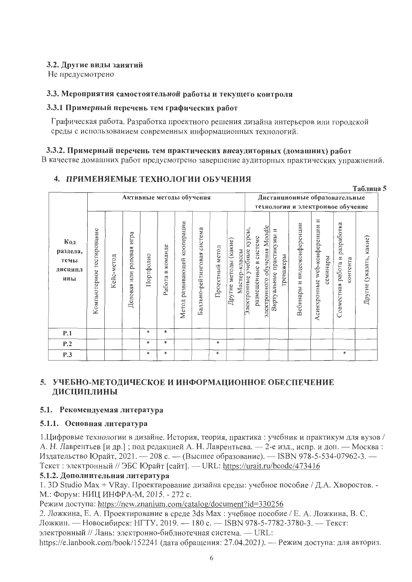# 3.2. Другие виды занятий

Не предусмотрено

# 3.3. Мероприятия самостоятельной работы и текущего контроля

# 3.3.1 Примерный перечень тем графических работ

Графическая работа. Разработка проектного решения дизайна интерьеров или городской среды с использованием современных информационных технологий.

# 3.3.2. Примерный перечень тем практических внеаудиторных (домашних) работ

В качестве домашних работ предусмотрено завершение аудиторных практических упражнений.

 $ToGauss \sim$ 

# 4. ПРИМЕНЯЕМЫЕ ТЕХНОЛОГИИ ОБУЧЕНИЯ

|                                           |                              |            |                          | Активные методы обучения |                        |                                    |                                |                    |                                           |                               |                       |                              |                                       | Дистанционные образовательные<br>технологии и электронное обучение |                                  |          |                                      |          |                            |
|-------------------------------------------|------------------------------|------------|--------------------------|--------------------------|------------------------|------------------------------------|--------------------------------|--------------------|-------------------------------------------|-------------------------------|-----------------------|------------------------------|---------------------------------------|--------------------------------------------------------------------|----------------------------------|----------|--------------------------------------|----------|----------------------------|
| Код<br>раздела,<br>темы<br>дисципл<br>ины | тестирование<br>Компьютерное | Кейс-метод | Деловая или ролевая игра | Портфолио                | команде<br>≃<br>Работа | кооперации<br>развивающей<br>Метод | система<br>Балльно-рейтинговая | метод<br>Проектный | методы (какие)<br>Мастер-классы<br>Другие | курсы,<br>Электронные учебные | размещенные в системе | электронного обучения Moodle | Виртуальные практикумы и<br>гренажеры | и видеоконференции<br>Вебинары                                     | web-конференции и<br>Асинхронные | семинары | разработка<br>работа и<br>Совместная | контента | какие)<br>Другие (указать, |
| P.1                                       |                              |            |                          | *                        | $\ast$                 |                                    |                                |                    |                                           |                               |                       |                              |                                       |                                                                    |                                  |          |                                      |          |                            |
| P.2                                       |                              |            |                          | $\ast$                   | $\ast$                 |                                    |                                | $*$                |                                           |                               |                       |                              |                                       |                                                                    |                                  |          |                                      |          |                            |
| P.3                                       |                              |            |                          | *                        | ∗                      |                                    |                                | ∗                  |                                           |                               |                       |                              |                                       |                                                                    |                                  |          |                                      | *        |                            |

# 5. УЧЕБНО-МЕТОДИЧЕСКОЕ И ИНФОРМАЦИОННОЕ ОБЕСПЕЧЕНИЕ ДИСЦИПЛИНЫ

# 5.1. Рекомендуемая литература

# 5.1.1. Основная литература

1. Цифровые технологии в дизайне. История, теория, практика: учебник и практикум для вузов / А. Н. Лаврентьев [и др.]; под редакцией А. Н. Лаврентьева. - 2-е изд., испр. и доп. - Москва: Издательство Юрайт, 2021. - 208 с. - (Высшее образование). - ISBN 978-5-534-07962-3. -Текст: электронный // ЭБС Юрайт [сайт]. — URL: https://urait.ru/bcode/473416

# 5.1.2. Дополнительная литература

1. 3D Studio Max + VRay. Проектирование дизайна среды: учебное пособие / Д.А. Хворостов. -М.: Форум: НИЦ ИНФРА-М, 2015. - 272 с.

Режим доступа: https://new.znanium.com/catalog/document?id=330256

2. Ложкина, Е. А. Проектирование в среде 3ds Max: учебное пособие / Е. А. Ложкина, В. С. Ложкин. — Новосибирск: НГТУ, 2019. — 180 с. — ISBN 978-5-7782-3780-3. — Текст:

электронный // Лань: электронно-библиотечная система. — URL:

https://e.lanbook.com/book/152241 (дата обращения: 27.04.2021). — Режим доступа: для авториз.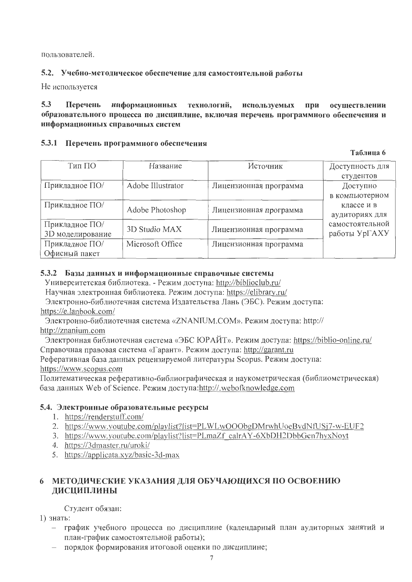пользователей.

# 5.2. Учебно-методическое обеспечение для самостоятельной работы

Не используется

#### $5.3$ Перечень информационных технологий, используемых при осуществлении образовательного процесса по дисциплине, включая перечень программного обеспечения и информационных справочных систем

# 5.3.1 Перечень программного обеспечения

Таблица 6

| Тип ПО                             | Название          | Источник               | Доступность для<br>студентов     |
|------------------------------------|-------------------|------------------------|----------------------------------|
| Прикладное ПО/                     | Adobe Illustrator | Лицензионная программа | Доступно<br>в компьютерном       |
| Прикладное ПО/                     | Adobe Photoshop   | Лицензионная программа | классе и в<br>аудиториях для     |
| Прикладное ПО/<br>3D моделирование | 3D Studio MAX     | Лицензионная программа | самостоятельной<br>работы УрГАХУ |
| Прикладное ПО/<br>Офисный пакет    | Microsoft Office  | Лицензионная программа |                                  |

# 5.3.2 Базы данных и информационные справочные системы

Университетская библиотека. - Режим доступа: http://biblioclub.ru/

Научная электронная библиотека. Режим доступа: https://elibrary.ru/

Электронно-библиотечная система Издательства Лань (ЭБС). Режим доступа: https://e.lanbook.com/

Электронно-библиотечная система «ZNANIUM.COM». Режим доступа: http:// http://znanium.com

Электронная библиотечная система «ЭБС ЮРАЙТ». Режим доступа: https://biblio-online.ru/ Справочная правовая система «Гарант». Режим доступа: http://garant.ru Реферативная база данных рецензируемой литературы Scopus. Режим доступа:

https://www.scopus.com

Политематическая реферативно-библиографическая и наукометрическая (библиометрическая) база данных Web of Science. Режим доступа:http://.webofknowledge.com

# 5.4. Электронные образовательные ресурсы

- 1. https://renderstuff.com/
- 2. https://www.youtube.com/playlist?list=PLWLwOOObgDMrwhUoeBvdNfUSj7-w-EUF2
- 3. https://www.youtube.com/playlist?list=PLmaZf\_calrAY-6XbDH2DbbGcn7hyxNovt
- 4. https://3dmaster.ru/uroki/
- 5. https://applicata.xyz/basic-3d-max

# 6 МЕТОДИЧЕСКИЕ УКАЗАНИЯ ДЛЯ ОБУЧАЮЩИХСЯ ПО ОСВОЕНИЮ ДИСЦИПЛИНЫ

Студент обязан:

1) знать:

- график учебного процесса по дисциплине (календарный план аудиторных занятий и план-график самостоятельной работы);
- порядок формирования итоговой оценки по дисциплине;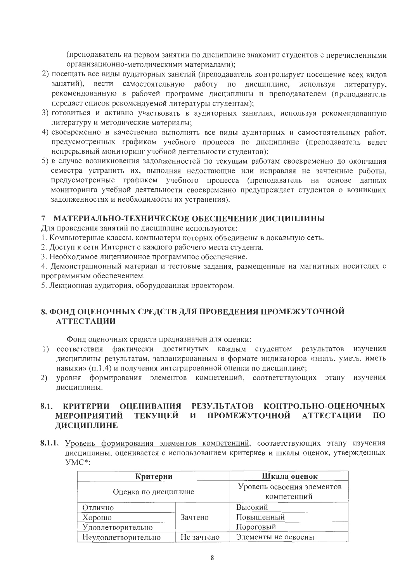(преподаватель на первом занятии по дисциплине знакомит студентов с перечисленными организационно-методическими материалами);

- 2) посещать все виды аудиторных занятий (преподаватель контролирует посещение всех видов занятий), вести самостоятельную работу по дисциплине, используя литературу, рекомендованную в рабочей программе дисциплины и преподавателем (преподаватель передает список рекомендуемой литературы студентам);
- 3) готовиться и активно участвовать в аудиторных занятиях, используя рекомендованную литературу и методические материалы;
- 4) своевременно и качественно выполнять все виды аудиторных и самостоятельных работ, предусмотренных графиком учебного процесса по дисциплине (преподаватель ведет непрерывный мониторинг учебной деятельности студентов);
- 5) в случае возникновения задолженностей по текущим работам своевременно до окончания семестра устранить их, выполняя недостающие или исправляя не зачтенные работы, предусмотренные графиком учебного процесса (преподаватель на основе данных мониторинга учебной деятельности своевременно предупреждает студентов о возникших задолженностях и необходимости их устранения).

# 7 МАТЕРИАЛЬНО-ТЕХНИЧЕСКОЕ ОБЕСПЕЧЕНИЕ ДИСЦИПЛИНЫ

Для проведения занятий по дисциплине используются:

1. Компьютерные классы, компьютеры которых объединены в локальную сеть.

2. Доступ к сети Интернет с каждого рабочего места студента.

3. Необходимое лицензионное программное обеспечение.

4. Демонстрационный материал и тестовые задания, размещенные на магнитных носителях с программным обеспечением.

5. Лекционная аудитория, оборудованная проектором.

# 8. ФОНД ОЦЕНОЧНЫХ СРЕДСТВ ДЛЯ ПРОВЕДЕНИЯ ПРОМЕЖУТОЧНОЙ **АТТЕСТАЦИИ**

Фонд оценочных средств предназначен для оценки:

- 1) соответствия фактически достигнутых каждым студентом результатов изучения дисциплины результатам, запланированным в формате индикаторов «знать, уметь, иметь навыки» (п.1.4) и получения интегрированной оценки по дисциплине;
- 2) уровня формирования элементов компетенций, соответствующих этапу изучения дисциплины.

#### КОНТРОЛЬНО-ОЦЕНОЧНЫХ **РЕЗУЛЬТАТОВ** 8.1. КРИТЕРИИ ОЦЕНИВАНИЯ ПРОМЕЖУТОЧНОЙ АТТЕСТАЦИИ МЕРОПРИЯТИЙ ТЕКУШЕЙ И  $\Pi$ <sup>O</sup> ДИСЦИПЛИНЕ

8.1.1. Уровень формирования элементов компетенций, соответствующих этапу изучения дисциплины, оценивается с использованием критериев и шкалы оценок, утвержденных  $YMC^*$ :

| Критерии                          | Шкала оценок                              |                     |  |
|-----------------------------------|-------------------------------------------|---------------------|--|
| Оценка по дисциплине              | Уровень освоения элементов<br>компетенций |                     |  |
| Отлично                           |                                           | Высокий             |  |
| Хорошо                            | Зачтено                                   | Повышенный          |  |
| Удовлетворительно                 |                                           | Пороговый           |  |
| Не зачтено<br>Неудовлетворительно |                                           | Элементы не освоены |  |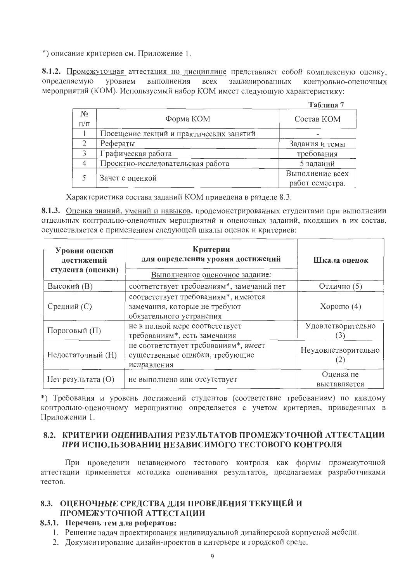\*) описание критериев см. Приложение 1.

8.1.2. Промежуточная аттестация по дисциплине представляет собой комплексную оценку, определяемую уровнем выполнения **BCCX** запланированных контрольно-оценочных мероприятий (КОМ). Используемый набор КОМ имеет следующую характеристику:

 $To6 = 7$ 

|                      |                                         | 140.11114                          |
|----------------------|-----------------------------------------|------------------------------------|
| $N_{2}$<br>$\Pi/\Pi$ | Форма КОМ                               | Состав КОМ                         |
|                      | Посещение лекций и практических занятий |                                    |
|                      | Рефераты                                | Задания и темы                     |
| 3                    | Графическая работа                      | требования                         |
|                      | Проектно-исследовательская работа       | 5 заданий                          |
|                      | Зачет с оценкой                         | Выполнение всех<br>работ семестра. |

Характеристика состава заданий КОМ приведена в разделе 8.3.

8.1.3. Оценка знаний, умений и навыков, продемонстрированных студентами при выполнении отдельных контрольно-оценочных мероприятий и оценочных заданий, входящих в их состав, осуществляется с применением следующей шкалы оценок и критериев:

| Уровни оценки<br>достижений<br>студента (оценки) | Критерии<br>для определения уровня достижений<br>Выполненное оценочное задание:                  | Шкала оценок               |  |  |
|--------------------------------------------------|--------------------------------------------------------------------------------------------------|----------------------------|--|--|
| <b>Высокий</b> (В)                               | соответствует требованиям*, замечаний нет                                                        | Отлично (5)                |  |  |
| Средний (С)                                      | соответствует требованиям*, имеются<br>замечания, которые не требуют<br>обязательного устранения | Хорошо $(4)$               |  |  |
| Пороговый $(\Pi)$                                | не в полной мере соответствует<br>требованиям*, есть замечания                                   | Удовлетворительно<br>3     |  |  |
| Недостаточный (Н)                                | не соответствует требованиям*, имеет<br>существенные ошибки, требующие<br>исправления            | Неудовлетворительно<br>(2) |  |  |
| Нет результата $(O)$                             | не выполнено или отсутствует                                                                     | Оценка не<br>выставляется  |  |  |

\*) Требования и уровень достижений студентов (соответствие требованиям) по каждому контрольно-оценочному мероприятию определяется с учетом критериев, приведенных в Приложении 1.

# 8.2. КРИТЕРИИ ОЦЕНИВАНИЯ РЕЗУЛЬТАТОВ ПРОМЕЖУТОЧНОЙ АТТЕСТАЦИИ ПРИ ИСПОЛЬЗОВАНИИ НЕЗАВИСИМОГО ТЕСТОВОГО КОНТРОЛЯ

При проведении независимого тестового контроля как формы промежуточной аттестации применяется методика оценивания результатов, предлагаемая разработчиками тестов.

# 8.3. ОЦЕНОЧНЫЕ СРЕДСТВА ДЛЯ ПРОВЕДЕНИЯ ТЕКУЩЕЙ И ПРОМЕЖУТОЧНОЙ АТТЕСТАЦИИ

# 8.3.1. Перечень тем для рефератов:

1. Решение задач проектирования индивидуальной дизайнерской корпусной мебели.

2. Документирование дизайн-проектов в интерьере и городской среде.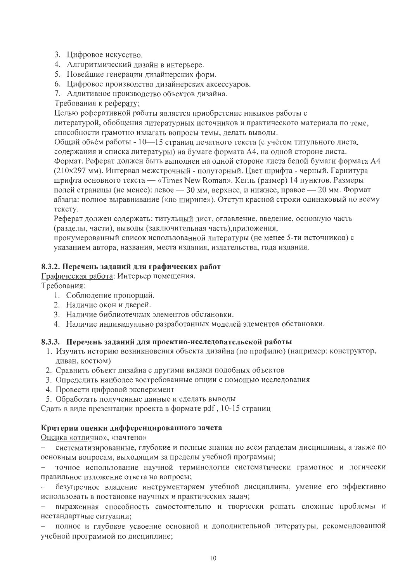- 3. Цифровое искусство.
- 4. Алгоритмический дизайн в интерьере.
- 5. Новейшие генерации дизайнерских форм.
- 6. Цифровое производство дизайнерских аксессуаров.
- 7. Аддитивное производство объектов дизайна.

### Требования к реферату:

Целью реферативной работы является приобретение навыков работы с литературой, обобщения литературных источников и практического материала по теме,

способности грамотно излагать вопросы темы, делать выводы.

Общий объем работы - 10-15 страниц печатного текста (с учетом титульного листа, содержания и списка литературы) на бумаге формата А4, на одной стороне листа. Формат. Реферат должен быть выполнен на одной стороне листа белой бумаги формата А4 (210х297 мм). Интервал межстрочный - полуторный. Цвет шрифта - черный. Гарнитура шрифта основного текста — «Times New Roman». Кегль (размер) 14 пунктов. Размеры полей страницы (не менее): левое - 30 мм, верхнее, и нижнее, правое - 20 мм. Формат абзаца: полное выравнивание («по ширине»). Отступ красной строки одинаковый по всему тексту.

Реферат должен содержать: титульный лист, оглавление, введение, основную часть (разделы, части), выводы (заключительная часть), приложения,

пронумерованный список использованной литературы (не менее 5-ти источников) с указанием автора, названия, места издания, издательства, года издания.

# 8.3.2. Перечень заданий для графических работ

Графическая работа: Интерьер помещения.

Требования:

- 1. Соблюдение пропорций.
- 2. Наличие окон и дверей.
- 3. Наличие библиотечных элементов обстановки.
- 4. Наличие индивидуально разработанных моделей элементов обстановки.

# 8.3.3. Перечень заданий для проектно-исследовательской работы

- 1. Изучить историю возникновения объекта дизайна (по профилю) (например: конструктор, диван, костюм)
- 2. Сравнить объект дизайна с другими видами подобных объектов
- 3. Определить наиболее востребованные опции с помощью исследования
- 4. Провести цифровой эксперимент
- 5. Обработать полученные данные и сделать выводы

Сдать в виде презентации проекта в формате pdf, 10-15 страниц

#### Критерии оценки дифференцированного зачета

Оценка «отлично», «зачтено»

систематизированные, глубокие и полные знания по всем разделам дисциплины, а также по  $\equiv$ основным вопросам, выходящим за пределы учебной программы;

точное использование научной терминологии систематически грамотное и логически правильное изложение ответа на вопросы;

безупречное владение инструментарием учебной дисциплины, умение его эффективно  $\overline{\phantom{m}}$ использовать в постановке научных и практических задач;

выраженная способность самостоятельно и творчески решать сложные проблемы и нестандартные ситуации;

полное и глубокое усвоение основной и дополнительной литературы, рекомендованной  $\overline{\phantom{0}}$ учебной программой по дисциплине;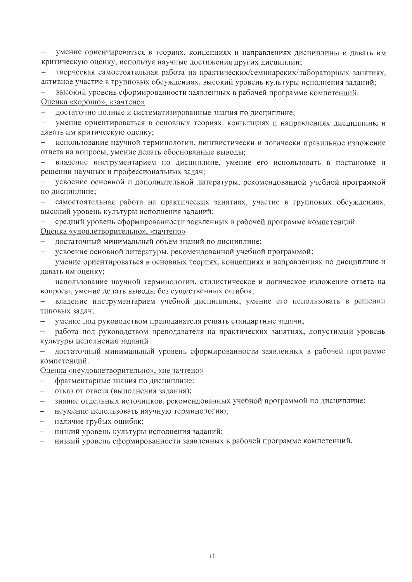умение ориентироваться в теориях, концепциях и направлениях дисциплины и давать им критическую оценку, используя научные достижения других дисциплин;

творческая самостоятельная работа на практических/семинарских/лабораторных занятиях, активное участие в групповых обсуждениях, высокий уровень культуры исполнения заданий;

высокий уровень сформированности заявленных в рабочей программе компетенций.

Оценка «хорошо», «зачтено»

достаточно полные и систематизированные знания по дисциплине;

умение ориентироваться в основных теориях, концепциях и направлениях дисциплины и давать им критическую оценку;

 $\equiv$ использование научной терминологии, лингвистически и логически правильное изложение ответа на вопросы, умение делать обоснованные выводы;

владение инструментарием по дисциплине, умение его использовать в постановке и решении научных и профессиональных задач;

усвоение основной и дополнительной литературы, рекомендованной учебной программой по дисциплине;

самостоятельная работа на практических занятиях, участие в групповых обсуждениях, высокий уровень культуры исполнения заданий;

средний уровень сформированности заявленных в рабочей программе компетенций.  $\frac{1}{2}$ Оценка «удовлетворительно», «зачтено»

достаточный минимальный объем знаний по дисциплине;

 $\equiv$ усвоение основной литературы, рекомендованной учебной программой;

умение ориентироваться в основных теориях, концепциях и направлениях по дисциплине и давать им оценку;

использование научной терминологии, стилистическое и логическое изложение ответа на  $\frac{1}{2}$ вопросы, умение делать выводы без существенных ошибок;

владение инструментарием учебной дисциплины, умение его использовать в решении  $\equiv$ типовых задач;

умение под руководством преподавателя решать стандартные задачи;

работа под руководством преподавателя на практических занятиях, допустимый уровень  $\overline{\phantom{a}}$ культуры исполнения заданий

достаточный минимальный уровень сформированности заявленных в рабочей программе компетенций.

Оценка «неудовлетворительно», «не зачтено»

- фрагментарные знания по дисциплине;
- $\equiv$ отказ от ответа (выполнения задания);
- знание отдельных источников, рекомендованных учебной программой по дисциплине;  $\equiv$
- неумение использовать научную терминологию;
- наличие грубых ошибок;  $\overline{\phantom{0}}$
- низкий уровень культуры исполнения заданий;  $\overline{\phantom{0}}$
- низкий уровень сформированности заявленных в рабочей программе компетенций.  $\sim$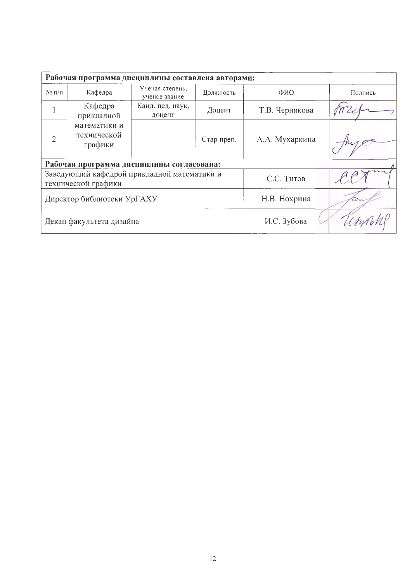| Рабочая программа дисциплины составлена авторами: |                                                                    |                                  |            |                |         |  |  |  |  |  |
|---------------------------------------------------|--------------------------------------------------------------------|----------------------------------|------------|----------------|---------|--|--|--|--|--|
| $N_2 \eta / \eta$                                 | Кафедра                                                            | Ученая степень,<br>ученое звание | Должность  | ФИО            | Подпись |  |  |  |  |  |
|                                                   | Кафедра<br>прикладной                                              | Канд. пед. наук,<br>доцент       | Доцент     | Т.В. Чернякова |         |  |  |  |  |  |
| $\overline{2}$                                    | математики и<br>технической<br>графики                             |                                  | Стар преп. | А.А. Мухаркина |         |  |  |  |  |  |
| Рабочая программа дисциплины согласована:         |                                                                    |                                  |            |                |         |  |  |  |  |  |
|                                                   | Заведующий кафедрой прикладной математики и<br>технической графики |                                  | С.С. Титов |                |         |  |  |  |  |  |
| Директор библиотеки УрГАХУ                        |                                                                    |                                  |            | Н.В. Нохрина   | Toc     |  |  |  |  |  |
| Декан факультета дизайна                          |                                                                    |                                  |            | И.С. Зубова    |         |  |  |  |  |  |